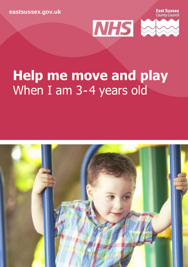**[eastsussex.gov.uk](http://eastsussex.gov.uk/)**

**Fast Sussex County Council** 



# **Help me move and play** When I am 3-4 years old

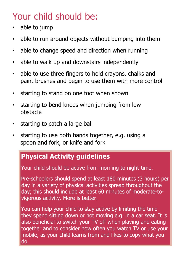## Your child should be:

- able to jump
- able to run around objects without bumping into them
- able to change speed and direction when running
- able to walk up and downstairs independently
- able to use three fingers to hold crayons, chalks and paint brushes and begin to use them with more control
- starting to stand on one foot when shown
- starting to bend knees when jumping from low obstacle
- starting to catch a large ball
- starting to use both hands together, e.g. using a spoon and fork, or knife and fork

### **Physical Activity guidelines**

Your child should be active from morning to night-time.

Pre-schoolers should spend at least 180 minutes (3 hours) per day in a variety of physical activities spread throughout the day; this should include at least 60 minutes of moderate-tovigorous activity. More is better.

You can help your child to stay active by limiting the time they spend sitting down or not moving e.g. in a car seat. It is also beneficial to switch your TV off when playing and eating together and to consider how often you watch TV or use your mobile, as your child learns from and likes to copy what you do.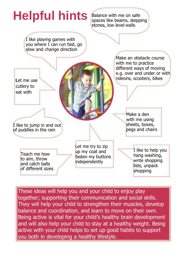

These ideas will help you and your child to enjoy play together; supporting their communication and social skills. They will help your child to strengthen their muscles, develop balance and coordination, and learn to move on their own. Being active is vital for your child's healthy brain development and will also help your child to stay at a healthy weight. Being active with your child helps to set up good habits to support you both in developing a healthy lifestyle.